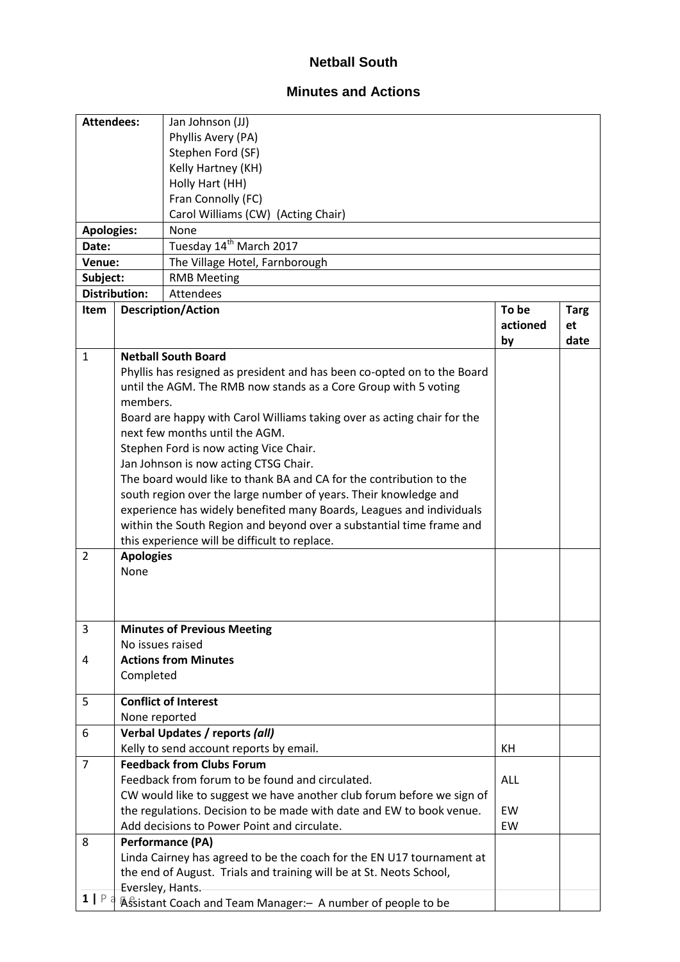## **Netball South**

## **Minutes and Actions**

| <b>Attendees:</b> |                                          | Jan Johnson (JJ)                                                        |            |             |  |  |  |  |
|-------------------|------------------------------------------|-------------------------------------------------------------------------|------------|-------------|--|--|--|--|
|                   |                                          | Phyllis Avery (PA)                                                      |            |             |  |  |  |  |
|                   |                                          | Stephen Ford (SF)                                                       |            |             |  |  |  |  |
|                   |                                          | Kelly Hartney (KH)                                                      |            |             |  |  |  |  |
|                   |                                          | Holly Hart (HH)                                                         |            |             |  |  |  |  |
|                   |                                          | Fran Connolly (FC)                                                      |            |             |  |  |  |  |
|                   |                                          | Carol Williams (CW) (Acting Chair)                                      |            |             |  |  |  |  |
| <b>Apologies:</b> |                                          | None                                                                    |            |             |  |  |  |  |
| Date:             |                                          | Tuesday 14 <sup>th</sup> March 2017                                     |            |             |  |  |  |  |
| Venue:            |                                          | The Village Hotel, Farnborough                                          |            |             |  |  |  |  |
| Subject:          |                                          | <b>RMB Meeting</b>                                                      |            |             |  |  |  |  |
|                   | <b>Distribution:</b><br><b>Attendees</b> |                                                                         |            |             |  |  |  |  |
| Item              |                                          | <b>Description/Action</b>                                               | To be      | <b>Targ</b> |  |  |  |  |
|                   |                                          |                                                                         | actioned   | et          |  |  |  |  |
|                   |                                          |                                                                         | by         | date        |  |  |  |  |
| $\mathbf{1}$      |                                          | <b>Netball South Board</b>                                              |            |             |  |  |  |  |
|                   |                                          | Phyllis has resigned as president and has been co-opted on to the Board |            |             |  |  |  |  |
|                   |                                          | until the AGM. The RMB now stands as a Core Group with 5 voting         |            |             |  |  |  |  |
|                   | members.                                 |                                                                         |            |             |  |  |  |  |
|                   |                                          | Board are happy with Carol Williams taking over as acting chair for the |            |             |  |  |  |  |
|                   |                                          | next few months until the AGM.                                          |            |             |  |  |  |  |
|                   |                                          | Stephen Ford is now acting Vice Chair.                                  |            |             |  |  |  |  |
|                   |                                          | Jan Johnson is now acting CTSG Chair.                                   |            |             |  |  |  |  |
|                   |                                          | The board would like to thank BA and CA for the contribution to the     |            |             |  |  |  |  |
|                   |                                          | south region over the large number of years. Their knowledge and        |            |             |  |  |  |  |
|                   |                                          | experience has widely benefited many Boards, Leagues and individuals    |            |             |  |  |  |  |
|                   |                                          | within the South Region and beyond over a substantial time frame and    |            |             |  |  |  |  |
|                   |                                          | this experience will be difficult to replace.                           |            |             |  |  |  |  |
| $\overline{2}$    | <b>Apologies</b>                         |                                                                         |            |             |  |  |  |  |
|                   | None                                     |                                                                         |            |             |  |  |  |  |
|                   |                                          |                                                                         |            |             |  |  |  |  |
|                   |                                          |                                                                         |            |             |  |  |  |  |
|                   |                                          |                                                                         |            |             |  |  |  |  |
| 3                 |                                          | <b>Minutes of Previous Meeting</b>                                      |            |             |  |  |  |  |
|                   | No issues raised                         |                                                                         |            |             |  |  |  |  |
| 4                 |                                          | <b>Actions from Minutes</b>                                             |            |             |  |  |  |  |
|                   | Completed                                |                                                                         |            |             |  |  |  |  |
| 5                 |                                          | <b>Conflict of Interest</b>                                             |            |             |  |  |  |  |
|                   | None reported                            |                                                                         |            |             |  |  |  |  |
| 6                 |                                          | Verbal Updates / reports (all)                                          |            |             |  |  |  |  |
|                   |                                          | Kelly to send account reports by email.                                 | KH         |             |  |  |  |  |
| $\overline{7}$    |                                          | <b>Feedback from Clubs Forum</b>                                        |            |             |  |  |  |  |
|                   |                                          | Feedback from forum to be found and circulated.                         | <b>ALL</b> |             |  |  |  |  |
|                   |                                          | CW would like to suggest we have another club forum before we sign of   |            |             |  |  |  |  |
|                   |                                          | the regulations. Decision to be made with date and EW to book venue.    | EW         |             |  |  |  |  |
|                   |                                          | Add decisions to Power Point and circulate.                             | EW         |             |  |  |  |  |
| 8                 |                                          | <b>Performance (PA)</b>                                                 |            |             |  |  |  |  |
|                   |                                          |                                                                         |            |             |  |  |  |  |
|                   |                                          | Linda Cairney has agreed to be the coach for the EN U17 tournament at   |            |             |  |  |  |  |
|                   |                                          | the end of August. Trials and training will be at St. Neots School,     |            |             |  |  |  |  |
| 1   P             | Eversley, Hants.                         |                                                                         |            |             |  |  |  |  |
|                   |                                          | Assistant Coach and Team Manager: - A number of people to be            |            |             |  |  |  |  |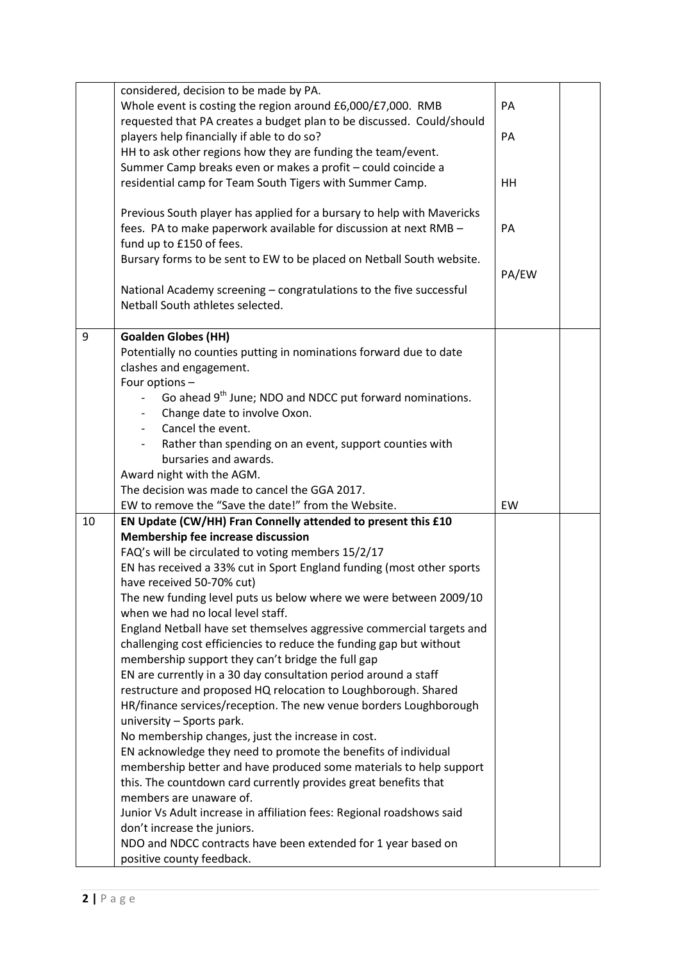|  |    | considered, decision to be made by PA.<br>Whole event is costing the region around £6,000/£7,000. RMB                                                                                                                                                                | PA    |  |
|--|----|----------------------------------------------------------------------------------------------------------------------------------------------------------------------------------------------------------------------------------------------------------------------|-------|--|
|  |    | requested that PA creates a budget plan to be discussed. Could/should                                                                                                                                                                                                |       |  |
|  |    | players help financially if able to do so?                                                                                                                                                                                                                           |       |  |
|  |    | HH to ask other regions how they are funding the team/event.                                                                                                                                                                                                         |       |  |
|  |    | Summer Camp breaks even or makes a profit - could coincide a                                                                                                                                                                                                         |       |  |
|  |    | residential camp for Team South Tigers with Summer Camp.                                                                                                                                                                                                             | HH    |  |
|  |    | Previous South player has applied for a bursary to help with Mavericks<br>fees. PA to make paperwork available for discussion at next RMB -<br>fund up to £150 of fees.                                                                                              | PA    |  |
|  |    | Bursary forms to be sent to EW to be placed on Netball South website.                                                                                                                                                                                                |       |  |
|  |    | National Academy screening - congratulations to the five successful                                                                                                                                                                                                  | PA/EW |  |
|  |    | Netball South athletes selected.                                                                                                                                                                                                                                     |       |  |
|  |    |                                                                                                                                                                                                                                                                      |       |  |
|  | 9  | <b>Goalden Globes (HH)</b><br>Potentially no counties putting in nominations forward due to date                                                                                                                                                                     |       |  |
|  |    | clashes and engagement.                                                                                                                                                                                                                                              |       |  |
|  |    | Four options -                                                                                                                                                                                                                                                       |       |  |
|  |    | Go ahead 9 <sup>th</sup> June; NDO and NDCC put forward nominations.                                                                                                                                                                                                 |       |  |
|  |    | Change date to involve Oxon.                                                                                                                                                                                                                                         |       |  |
|  |    | Cancel the event.                                                                                                                                                                                                                                                    |       |  |
|  |    | Rather than spending on an event, support counties with<br>bursaries and awards.                                                                                                                                                                                     |       |  |
|  |    | Award night with the AGM.                                                                                                                                                                                                                                            |       |  |
|  |    | The decision was made to cancel the GGA 2017.                                                                                                                                                                                                                        |       |  |
|  |    | EW to remove the "Save the date!" from the Website.                                                                                                                                                                                                                  | EW    |  |
|  | 10 | EN Update (CW/HH) Fran Connelly attended to present this £10                                                                                                                                                                                                         |       |  |
|  |    | Membership fee increase discussion                                                                                                                                                                                                                                   |       |  |
|  |    | FAQ's will be circulated to voting members 15/2/17                                                                                                                                                                                                                   |       |  |
|  |    | EN has received a 33% cut in Sport England funding (most other sports                                                                                                                                                                                                |       |  |
|  |    | have received 50-70% cut)<br>The new funding level puts us below where we were between 2009/10                                                                                                                                                                       |       |  |
|  |    | when we had no local level staff.                                                                                                                                                                                                                                    |       |  |
|  |    | England Netball have set themselves aggressive commercial targets and<br>challenging cost efficiencies to reduce the funding gap but without<br>membership support they can't bridge the full gap<br>EN are currently in a 30 day consultation period around a staff |       |  |
|  |    |                                                                                                                                                                                                                                                                      |       |  |
|  |    | restructure and proposed HQ relocation to Loughborough. Shared                                                                                                                                                                                                       |       |  |
|  |    | HR/finance services/reception. The new venue borders Loughborough                                                                                                                                                                                                    |       |  |
|  |    | university - Sports park.                                                                                                                                                                                                                                            |       |  |
|  |    | No membership changes, just the increase in cost.                                                                                                                                                                                                                    |       |  |
|  |    | EN acknowledge they need to promote the benefits of individual<br>membership better and have produced some materials to help support                                                                                                                                 |       |  |
|  |    | this. The countdown card currently provides great benefits that                                                                                                                                                                                                      |       |  |
|  |    | members are unaware of.                                                                                                                                                                                                                                              |       |  |
|  |    | Junior Vs Adult increase in affiliation fees: Regional roadshows said                                                                                                                                                                                                |       |  |
|  |    | don't increase the juniors.                                                                                                                                                                                                                                          |       |  |
|  |    | NDO and NDCC contracts have been extended for 1 year based on                                                                                                                                                                                                        |       |  |
|  |    | positive county feedback.                                                                                                                                                                                                                                            |       |  |